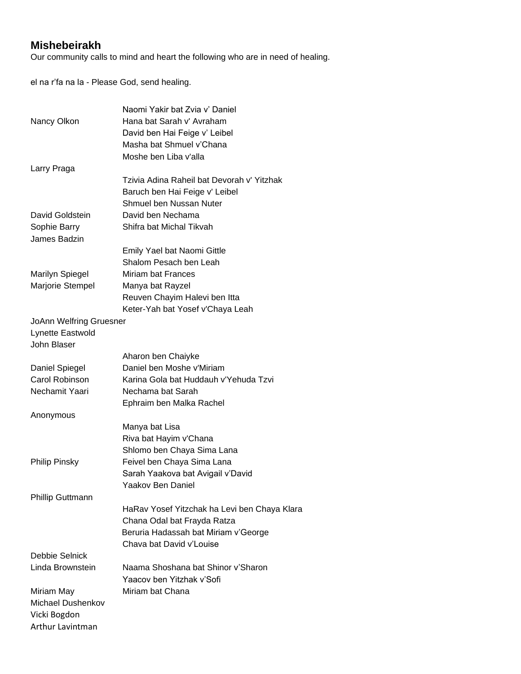## **Mishebeirakh**

Our community calls to mind and heart the following who are in need of healing.

el na r'fa na la - Please God, send healing.

|                                | Naomi Yakir bat Zvia v' Daniel               |
|--------------------------------|----------------------------------------------|
| Nancy Olkon                    | Hana bat Sarah v' Avraham                    |
|                                | David ben Hai Feige v' Leibel                |
|                                | Masha bat Shmuel v'Chana                     |
|                                | Moshe ben Liba v'alla                        |
| Larry Praga                    |                                              |
|                                | Tzivia Adina Raheil bat Devorah v' Yitzhak   |
|                                | Baruch ben Hai Feige v' Leibel               |
|                                | Shmuel ben Nussan Nuter                      |
| David Goldstein                | David ben Nechama                            |
| Sophie Barry                   | Shifra bat Michal Tikvah                     |
| James Badzin                   |                                              |
|                                | Emily Yael bat Naomi Gittle                  |
|                                | Shalom Pesach ben Leah                       |
| <b>Marilyn Spiegel</b>         | Miriam bat Frances                           |
| Marjorie Stempel               | Manya bat Rayzel                             |
|                                | Reuven Chayim Halevi ben Itta                |
|                                | Keter-Yah bat Yosef v'Chaya Leah             |
| <b>JoAnn Welfring Gruesner</b> |                                              |
| Lynette Eastwold               |                                              |
| John Blaser                    |                                              |
|                                | Aharon ben Chaiyke                           |
| Daniel Spiegel                 | Daniel ben Moshe v'Miriam                    |
| Carol Robinson                 | Karina Gola bat Huddauh v'Yehuda Tzvi        |
| Nechamit Yaari                 | Nechama bat Sarah                            |
|                                | Ephraim ben Malka Rachel                     |
| Anonymous                      |                                              |
|                                | Manya bat Lisa                               |
|                                | Riva bat Hayim v'Chana                       |
|                                | Shlomo ben Chaya Sima Lana                   |
| <b>Philip Pinsky</b>           | Feivel ben Chaya Sima Lana                   |
|                                | Sarah Yaakova bat Avigail v'David            |
|                                | Yaakov Ben Daniel                            |
| Phillip Guttmann               |                                              |
|                                | HaRav Yosef Yitzchak ha Levi ben Chaya Klara |
|                                | Chana Odal bat Frayda Ratza                  |
|                                | Beruria Hadassah bat Miriam v'George         |
|                                | Chava bat David v'Louise                     |
| Debbie Selnick                 |                                              |
| Linda Brownstein               | Naama Shoshana bat Shinor v'Sharon           |
|                                | Yaacov ben Yitzhak v'Sofi                    |
| Miriam May                     | Miriam bat Chana                             |
| Michael Dushenkov              |                                              |
| Vicki Bogdon                   |                                              |
| Arthur Lavintman               |                                              |
|                                |                                              |